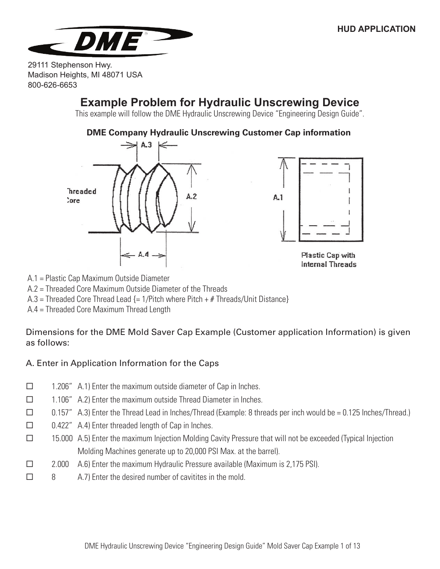

## **Example Problem for Hydraulic Unscrewing Device**

This example will follow the DME Hydraulic Unscrewing Device "Engineering Design Guide".

#### **DME Company Hydraulic Unscrewing Customer Cap information**





Plastic Cap with **Internal Threads** 

A.1 = Plastic Cap Maximum Outside Diameter

A.2 = Threaded Core Maximum Outside Diameter of the Threads

A.3 = Threaded Core Thread Lead {= 1/Pitch where Pitch + # Threads/Unit Distance}

A.4 = Threaded Core Maximum Thread Length

Dimensions for the DME Mold Saver Cap Example (Customer application Information) is given as follows:

## A. Enter in Application Information for the Caps

- $\Box$  1.206" A.1) Enter the maximum outside diameter of Cap in Inches.
- $\Box$  1.106" A.2) Enter the maximum outside Thread Diameter in Inches.
- $\square$  0.157" A.3) Enter the Thread Lead in Inches/Thread (Example: 8 threads per inch would be = 0.125 Inches/Thread.)
- $\Box$  0.422" A.4) Enter threaded length of Cap in Inches.
- 15.000 A.5) Enter the maximum Injection Molding Cavity Pressure that will not be exceeded (Typical Injection Molding Machines generate up to 20,000 PSI Max. at the barrel).
- $\Box$  2.000 A.6) Enter the maximum Hydraulic Pressure available (Maximum is 2,175 PSI).
- $\Box$  8 A.7) Enter the desired number of cavitites in the mold.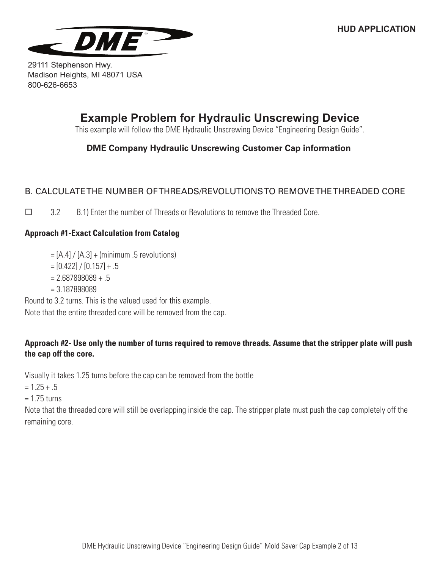

## **Example Problem for Hydraulic Unscrewing Device**

This example will follow the DME Hydraulic Unscrewing Device "Engineering Design Guide".

## **DME Company Hydraulic Unscrewing Customer Cap information**

## B. CALCULATE THE NUMBER OF THREADS/REVOLUTIONS TO REMOVE THE THREADED CORE

 $\Box$  3.2 B.1) Enter the number of Threads or Revolutions to remove the Threaded Core.

### **Approach #1-Exact Calculation from Catalog**

- $=$  [A.4] / [A.3] + (minimum .5 revolutions)
- $=[0.422]/[0.157]+.5$
- $= 2.687898089 + .5$
- $= 3.187898089$

Round to 3.2 turns. This is the valued used for this example. Note that the entire threaded core will be removed from the cap.

### **Approach #2- Use only the number of turns required to remove threads. Assume that the stripper plate will push the cap off the core.**

Visually it takes 1.25 turns before the cap can be removed from the bottle

 $= 1.25 + .5$ 

 $= 1.75$  turns

Note that the threaded core will still be overlapping inside the cap. The stripper plate must push the cap completely off the remaining core.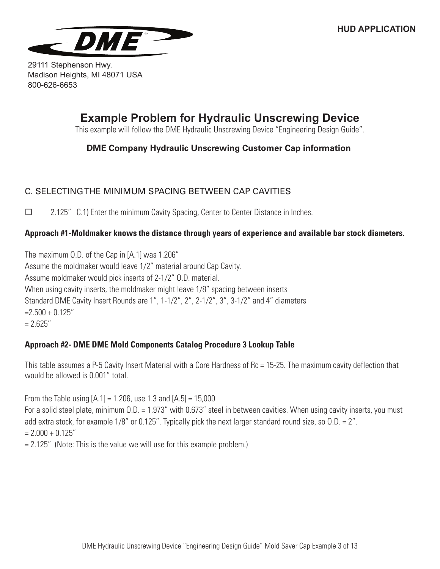

# **Example Problem for Hydraulic Unscrewing Device**

This example will follow the DME Hydraulic Unscrewing Device "Engineering Design Guide".

### **DME Company Hydraulic Unscrewing Customer Cap information**

## C. SELECTING THE MINIMUM SPACING BETWEEN CAP CAVITIES

 2.125" C.1) Enter the minimum Cavity Spacing, Center to Center Distance in Inches.

### **Approach #1-Moldmaker knows the distance through years of experience and available bar stock diameters.**

The maximum O.D. of the Cap in [A.1] was 1.206" Assume the moldmaker would leave 1/2" material around Cap Cavity. Assume moldmaker would pick inserts of 2-1/2" O.D. material. When using cavity inserts, the moldmaker might leave 1/8" spacing between inserts Standard DME Cavity Insert Rounds are 1", 1-1/2", 2", 2-1/2", 3", 3-1/2" and 4" diameters  $=2.500 + 0.125$ "  $= 2.625$ "

### **Approach #2- DME DME Mold Components Catalog Procedure 3 Lookup Table**

This table assumes a P-5 Cavity Insert Material with a Core Hardness of Rc = 15-25. The maximum cavity deflection that would be allowed is 0.001" total.

From the Table using  $[A.1] = 1.206$ , use 1.3 and  $[A.5] = 15,000$ For a solid steel plate, minimum O.D. = 1.973" with 0.673" steel in between cavities. When using cavity inserts, you must add extra stock, for example 1/8" or 0.125". Typically pick the next larger standard round size, so O.D. = 2".  $= 2.000 + 0.125$ "  $= 2.125$ " (Note: This is the value we will use for this example problem.)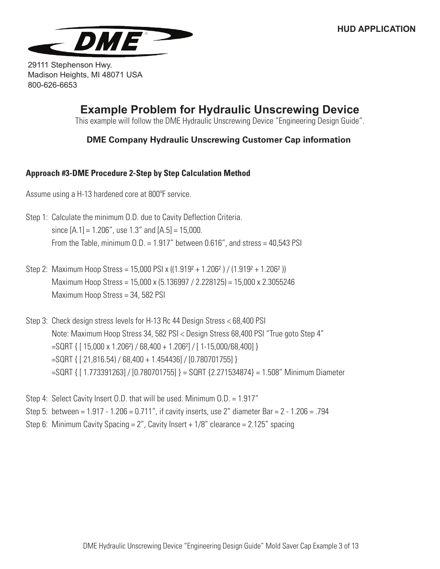

# **Example Problem for Hydraulic Unscrewing Device**

This example will follow the DME Hydraulic Unscrewing Device "Engineering Design Guide".

### **DME Company Hydraulic Unscrewing Customer Cap information**

#### **Approach #3-DME Procedure 2-Step by Step Calculation Method**

Assume using a H-13 hardened core at 800°F service.

- Step 1: Calculate the minimum O.D. due to Cavity Deflection Criteria. since  $[A.1] = 1.206$ ", use 1.3" and  $[A.5] = 15,000$ . From the Table, minimum  $0.D. = 1.917''$  between  $0.616''$ , and stress = 40,543 PSI
- Step 2: Maximum Hoop Stress = 15,000 PSI x  $((1.919<sup>2</sup> + 1.206<sup>2</sup>)/(1.919<sup>2</sup> + 1.206<sup>2</sup>))$ Maximum Hoop Stress = 15,000 x (5.136997 / 2.228125) = 15,000 x 2.3055246 Maximum Hoop Stress = 34, 582 PSI
- Step 3: Check design stress levels for H-13 Rc 44 Design Stress < 68,400 PSI Note: Maximum Hoop Stress 34, 582 PSI < Design Stress 68,400 PSI "True goto Step 4"  $=$ SQRT { [ 15,000 x 1.206<sup>2</sup>) / 68,400 + 1.206<sup>2</sup>] / [ 1-15,000/68,400] } =SQRT { [ 21,816.54) / 68,400 + 1.454436] / [0.780701755] } =SQRT { [ 1.773391263] / [0.780701755] } = SQRT {2.271534874} = 1.508" Minimum Diameter
- Step 4: Select Cavity Insert O.D. that will be used. Minimum O.D. = 1.917" Step 5: between =  $1.917 - 1.206 = 0.711$ ", if cavity inserts, use 2" diameter Bar =  $2 - 1.206 = .794$ Step 6: Minimum Cavity Spacing =  $2''$ , Cavity Insert +  $1/8''$  clearance =  $2.125''$  spacing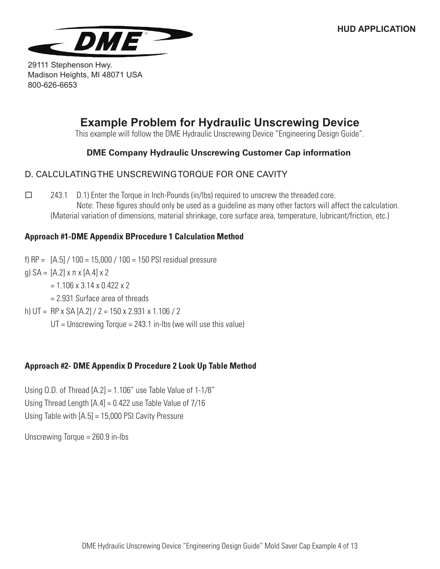

# **Example Problem for Hydraulic Unscrewing Device**

This example will follow the DME Hydraulic Unscrewing Device "Engineering Design Guide".

### **DME Company Hydraulic Unscrewing Customer Cap information**

### D. CALCULATING THE UNSCREWING TORQUE FOR ONE CAVITY

 $\Box$  243.1 D.1) Enter the Torque in Inch-Pounds (in/lbs) required to unscrew the threaded core. Note: These figures should only be used as a guideline as many other factors will affect the calculation. (Material variation of dimensions, material shrinkage, core surface area, temperature, lubricant/friction, etc.)

### **Approach #1-DME Appendix BProcedure 1 Calculation Method**

f)  $RP = [A.5] / 100 = 15,000 / 100 = 150$  PSI residual pressure

g)  $SA = [A.2] \times π \times [A.4] \times 2$ 

 $= 1.106 \times 3.14 \times 0.422 \times 2$ 

= 2.931 Surface area of threads

- h) UT = RP x SA [A.2] / 2 = 150 x 2.931 x 1.106 / 2
	- $UT =$  Unscrewing Torque = 243.1 in-lbs (we will use this value)

### **Approach #2- DME Appendix D Procedure 2 Look Up Table Method**

Using O.D. of Thread  $[A.2] = 1.106$ " use Table Value of  $1-1/8$ " Using Thread Length  $[A.4] = 0.422$  use Table Value of  $7/16$ Using Table with [A.5] = 15,000 PSI Cavity Pressure

Unscrewing Torque = 260.9 in-lbs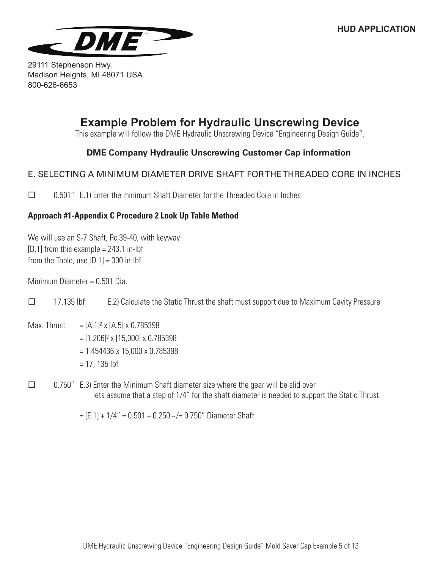

# **Example Problem for Hydraulic Unscrewing Device**

This example will follow the DME Hydraulic Unscrewing Device "Engineering Design Guide".

### **DME Company Hydraulic Unscrewing Customer Cap information**

### E. SELECTING A MINIMUM DIAMETER DRIVE SHAFT FOR THE THREADED CORE IN INCHES

 $\Box$  0.501" E.1) Enter the minimum Shaft Diameter for the Threaded Core in Inches

### **Approach #1-Appendix C Procedure 2 Look Up Table Method**

We will use an S-7 Shaft, Rc 39-40, with keyway  $[D.1]$  from this example = 243.1 in-lbf from the Table, use  $[D.1] = 300$  in-lbf

Minimum Diameter = 0.501 Dia.

 $\Box$  17.135 lbf E.2) Calculate the Static Thrust the shaft must support due to Maximum Cavity Pressure

- Max. Thrust  $= [A.1]^2 \times [A.5] \times 0.785398$  $=$  [1.206]<sup>2</sup> x [15,000] x 0.785398 = 1.454436 x 15,000 x 0.785398  $= 17, 135$  lbf
- $\Box$  0.750" E.3) Enter the Minimum Shaft diameter size where the gear will be slid over lets assume that a step of 1/4" for the shaft diameter is needed to support the Static Thrust

 $=[E.1] + 1/4" = 0.501 + 0.250$  ~/= 0.750" Diameter Shaft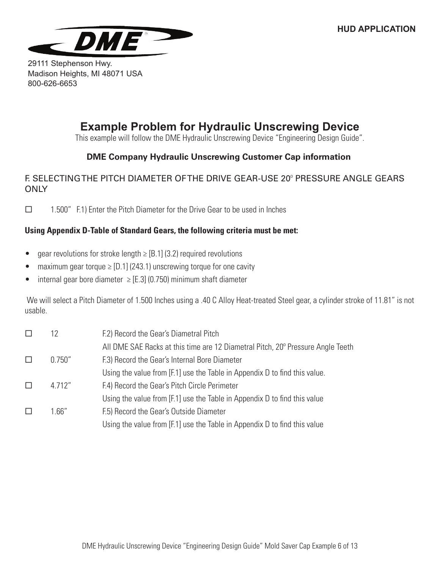

# **Example Problem for Hydraulic Unscrewing Device**

This example will follow the DME Hydraulic Unscrewing Device "Engineering Design Guide".

## **DME Company Hydraulic Unscrewing Customer Cap information**

### F. SELECTING THE PITCH DIAMETER OF THE DRIVE GEAR-USE 20° PRESSURE ANGLE GEARS **ONLY**

 $\Box$  1.500" F.1) Enter the Pitch Diameter for the Drive Gear to be used in Inches

### **Using Appendix D-Table of Standard Gears, the following criteria must be met:**

- gear revolutions for stroke length  $\geq$  [B.1] (3.2) required revolutions
- maximum gear torque  $\ge$  [D.1] (243.1) unscrewing torque for one cavity
- internal gear bore diameter  $\geq$  [E.3] (0.750) minimum shaft diameter

 We will select a Pitch Diameter of 1.500 Inches using a .40 C Alloy Heat-treated Steel gear, a cylinder stroke of 11.81" is not usable.

|         | 12      | F.2) Record the Gear's Diametral Pitch                                          |
|---------|---------|---------------------------------------------------------------------------------|
|         |         | All DME SAE Racks at this time are 12 Diametral Pitch, 20° Pressure Angle Teeth |
| $\perp$ | 0.750'' | F.3) Record the Gear's Internal Bore Diameter                                   |
|         |         | Using the value from [F.1] use the Table in Appendix D to find this value.      |
| $\perp$ | 4.712"  | F.4) Record the Gear's Pitch Circle Perimeter                                   |
|         |         | Using the value from [F.1] use the Table in Appendix D to find this value       |
| $\Box$  | 1.66"   | F.5) Record the Gear's Outside Diameter                                         |
|         |         | Using the value from [F.1] use the Table in Appendix D to find this value       |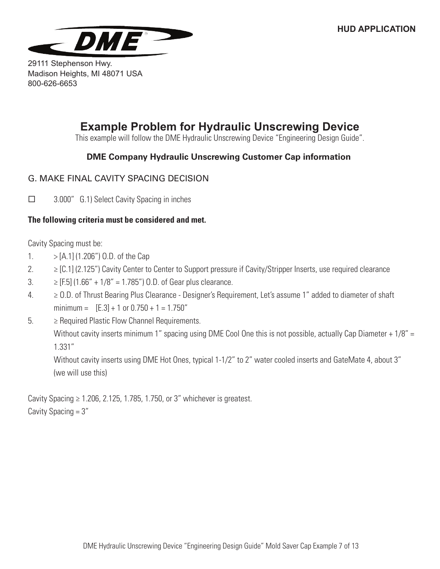

# **Example Problem for Hydraulic Unscrewing Device**

This example will follow the DME Hydraulic Unscrewing Device "Engineering Design Guide".

### **DME Company Hydraulic Unscrewing Customer Cap information**

### G. MAKE FINAL CAVITY SPACING DECISION

□ 3.000" G.1) Select Cavity Spacing in inches

#### **The following criteria must be considered and met.**

Cavity Spacing must be:

- 1.  $> [A.1] (1.206'')$  O.D. of the Cap
- $2. \geq [C.1]$  (2.125") Cavity Center to Center to Support pressure if Cavity/Stripper Inserts, use required clearance
- 3.  $≥$  [F.5] (1.66" + 1/8" = 1.785") O.D. of Gear plus clearance.
- 4. ≥ O.D. of Thrust Bearing Plus Clearance Designer's Requirement, Let's assume 1" added to diameter of shaft minimum =  $[E.3] + 1$  or  $0.750 + 1 = 1.750$ "
- $5.$   $\geq$  Required Plastic Flow Channel Requirements. Without cavity inserts minimum 1" spacing using DME Cool One this is not possible, actually Cap Diameter + 1/8" = 1.331"

Without cavity inserts using DME Hot Ones, typical 1-1/2" to 2" water cooled inserts and GateMate 4, about 3" (we will use this)

Cavity Spacing  $\geq 1.206$ , 2.125, 1.785, 1.750, or 3" whichever is greatest. Cavity Spacing  $= 3''$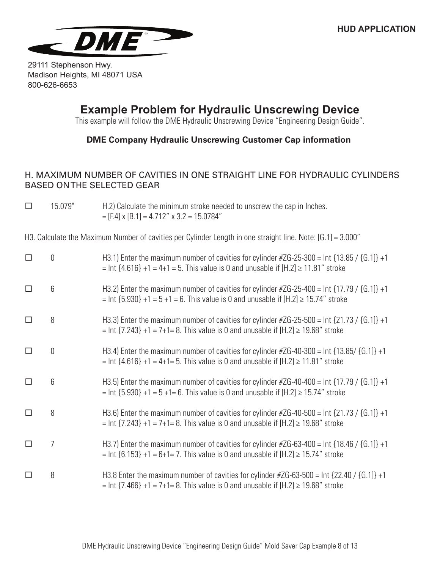

## **Example Problem for Hydraulic Unscrewing Device**

This example will follow the DME Hydraulic Unscrewing Device "Engineering Design Guide".

### **DME Company Hydraulic Unscrewing Customer Cap information**

### H. MAXIMUM NUMBER OF CAVITIES IN ONE STRAIGHT LINE FOR HYDRAULIC CYLINDERS BASED ON THE SELECTED GEAR

 $\Box$  15.079" H.2) Calculate the minimum stroke needed to unscrew the cap in Inches.  $=[F.4] \times [B.1] = 4.712" \times 3.2 = 15.0784"$ 

H3. Calculate the Maximum Number of cavities per Cylinder Length in one straight line. Note: [G.1] = 3.000"

| 0 | H3.1) Enter the maximum number of cavities for cylinder #ZG-25-300 = lnt $\{13.85 / \{G.1\} \}$ +1<br>= lnt $\{4.616\}$ +1 = 4+1 = 5. This value is 0 and unusable if $[H.2] \ge 11.81$ " stroke |
|---|--------------------------------------------------------------------------------------------------------------------------------------------------------------------------------------------------|
| 6 | H3.2) Enter the maximum number of cavities for cylinder #ZG-25-400 = lnt $\{17.79 / \{G.1\} \}$ +1<br>= lnt {5.930} +1 = 5 +1 = 6. This value is 0 and unusable if $[H.2] \ge 15.74$ " stroke    |
| 8 | H3.3) Enter the maximum number of cavities for cylinder #ZG-25-500 = lnt $\{21.73 / \{G.1\}$ +1<br>= lnt {7.243} +1 = 7+1= 8. This value is 0 and unusable if $[H.2] \ge 19.68$ " stroke         |
| 0 | H3.4) Enter the maximum number of cavities for cylinder $\#ZG$ -40-300 = lnt {13.85/ {G.1]} +1<br>= lnt $\{4.616\}$ +1 = 4+1= 5. This value is 0 and unusable if $[H.2] \ge 11.81$ " stroke      |
| 6 | H3.5) Enter the maximum number of cavities for cylinder #ZG-40-400 = lnt $\{17.79 / \{G.1\} \}$ +1<br>= $Int$ {5.930} +1 = 5 +1= 6. This value is 0 and unusable if [H.2] $\ge$ 15.74" stroke    |
| 8 | H3.6) Enter the maximum number of cavities for cylinder #ZG-40-500 = lnt $\{21.73 / \{G.1\} \}$ +1<br>= lnt {7.243} +1 = 7+1= 8. This value is 0 and unusable if $[H.2] \ge 19.68$ " stroke      |
| 7 | H3.7) Enter the maximum number of cavities for cylinder $\#ZG$ -63-400 = lnt {18.46 / {G.1]} +1<br>= lnt {6.153} +1 = 6+1= 7. This value is 0 and unusable if $[H.2] \ge 15.74$ " stroke         |
| 8 | H3.8 Enter the maximum number of cavities for cylinder #ZG-63-500 = Int {22.40 / {G.1]} +1<br>= lnt $\{7.466\}$ +1 = 7+1= 8. This value is 0 and unusable if $[H.2] \ge 19.68$ " stroke          |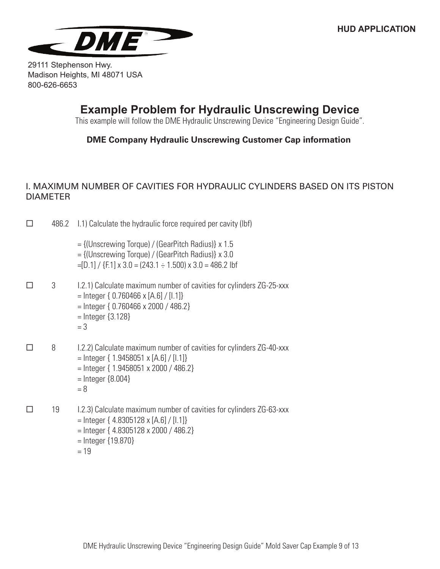

## **Example Problem for Hydraulic Unscrewing Device**

This example will follow the DME Hydraulic Unscrewing Device "Engineering Design Guide".

### **DME Company Hydraulic Unscrewing Customer Cap information**

### I. MAXIMUM NUMBER OF CAVITIES FOR HYDRAULIC CYLINDERS BASED ON ITS PISTON DIAMETER

- $\Box$  486.2 1.1) Calculate the hydraulic force required per cavity (lbf)
	- = {(Unscrewing Torque) / (GearPitch Radius)} x 1.5 = {(Unscrewing Torque) / (GearPitch Radius)} x 3.0  $=[D.1] / {F.1} \times 3.0 = (243.1 \div 1.500) \times 3.0 = 486.2$  lbf
- $\Box$  3 I.2.1) Calculate maximum number of cavities for cylinders ZG-25-xxx = Integer { 0.760466 x [A.6] / [I.1]} = Integer { 0.760466 x 2000 / 486.2} = Integer {3.128}  $= 3$
- $\Box$  8 I.2.2) Calculate maximum number of cavities for cylinders ZG-40-xxx  $=$  Integer { 1.9458051 x [A.6] / [I.1]} = Integer { 1.9458051 x 2000 / 486.2}  $=$  Integer  $\{8.004\}$  $= 8$
- $\Box$  19 I.2.3) Calculate maximum number of cavities for cylinders ZG-63-xxx  $=$  Integer { 4.8305128 x [A.6] / [I.1]} = Integer { 4.8305128 x 2000 / 486.2} = Integer {19.870}
	- $= 19$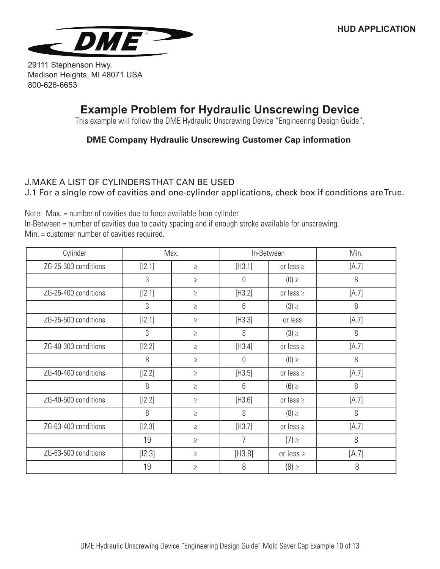

# **Example Problem for Hydraulic Unscrewing Device**

This example will follow the DME Hydraulic Unscrewing Device "Engineering Design Guide".

### **DME Company Hydraulic Unscrewing Customer Cap information**

### J.MAKE A LIST OF CYLINDERS THAT CAN BE USED

J.1 For a single row of cavities and one-cylinder applications, check box if conditions are True.

Note: Max. = number of cavities due to force available from cylinder. In-Between = number of cavities due to cavity spacing and if enough stroke available for unscrewing. Min. = customer number of cavities required.

| Max.<br>Cylinder     |          |        | In-Between |                | Min.  |
|----------------------|----------|--------|------------|----------------|-------|
| ZG-25-300 conditions | $[12.1]$ | $\geq$ | [H3.1]     | or less $\geq$ | [A.7] |
|                      | 3        | $\geq$ | 0          | $(0) \geq$     | 8     |
| ZG-25-400 conditions | $[12.1]$ | $\geq$ | [H3.2]     | or less $\geq$ | [A.7] |
|                      | 3        | $\geq$ | 6          | $(3) \geq$     | 8     |
| ZG-25-500 conditions | $[12.1]$ | $\geq$ | [H3.3]     | or less        | [A.7] |
|                      | 3        | $\geq$ | 8          | $(3) \geq$     | 8     |
| ZG-40-300 conditions | $[12.2]$ | $\geq$ | [H3.4]     | or less $\geq$ | [A.7] |
|                      | 8        | $\geq$ | 0          | $(0) \geq$     | 8     |
| ZG-40-400 conditions | $[12.2]$ | $\geq$ | [H3.5]     | or less $\geq$ | [A.7] |
|                      | 8        | $\geq$ | 6          | $(6) \ge$      | 8     |
| ZG-40-500 conditions | $[12.2]$ | $\geq$ | [H3.6]     | or less $\geq$ | [A.7] |
|                      | 8        | $\geq$ | 8          | $(8) \ge$      | 8     |
| ZG-63-400 conditions | $[12.3]$ | $\geq$ | [H3.7]     | or less $\geq$ | [A.7] |
|                      | 19       | $\geq$ | 7          | $(7) \ge$      | 8     |
| ZG-63-500 conditions | $[12.3]$ | $\geq$ | [H3.8]     | or less $\geq$ | [A.7] |
|                      | 19       | $\geq$ | 8          | $(8) \ge$      | 8     |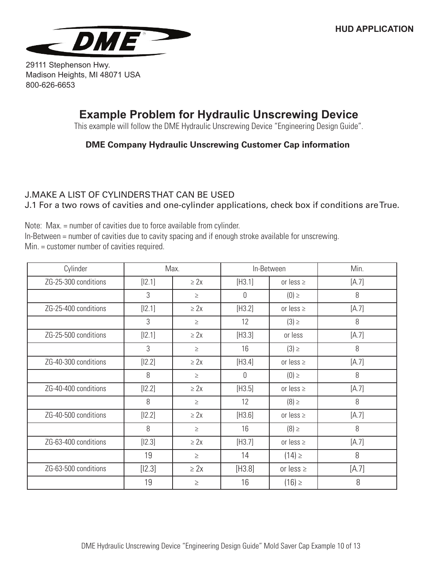

# **Example Problem for Hydraulic Unscrewing Device**

This example will follow the DME Hydraulic Unscrewing Device "Engineering Design Guide".

### **DME Company Hydraulic Unscrewing Customer Cap information**

## J.MAKE A LIST OF CYLINDERS THAT CAN BE USED

J.1 For a two rows of cavities and one-cylinder applications, check box if conditions are True.

Note: Max. = number of cavities due to force available from cylinder. In-Between = number of cavities due to cavity spacing and if enough stroke available for unscrewing. Min. = customer number of cavities required.

| Cylinder             | Max.     |           | In-Between |                | Min.  |
|----------------------|----------|-----------|------------|----------------|-------|
| ZG-25-300 conditions | $[12.1]$ | $\geq 2x$ | [H3.1]     | or less $\geq$ | [A.7] |
|                      | 3        | $\geq$    | 0          | $(0) \geq$     | 8     |
| ZG-25-400 conditions | $[12.1]$ | $\geq 2x$ | [H3.2]     | or less $\geq$ | [A.7] |
|                      | 3        | $\geq$    | 12         | $(3) \geq$     | 8     |
| ZG-25-500 conditions | $[12.1]$ | $\geq$ 2x | [H3.3]     | or less        | [A.7] |
|                      | 3        | $\geq$    | 16         | $(3) \ge$      | 8     |
| ZG-40-300 conditions | $[12.2]$ | $\geq 2x$ | [H3.4]     | or less $\geq$ | [A.7] |
|                      | 8        | $\geq$    | 0          | $(0) \geq$     | 8     |
| ZG-40-400 conditions | $[12.2]$ | $\geq$ 2x | [H3.5]     | or less $\geq$ | [A.7] |
|                      | 8        | $\geq$    | 12         | $(8) \ge$      | 8     |
| ZG-40-500 conditions | $[12.2]$ | $\geq 2x$ | [H3.6]     | or less $\geq$ | [A.7] |
|                      | 8        | $\geq$    | 16         | $(8) \ge$      | 8     |
| ZG-63-400 conditions | $[12.3]$ | $\geq 2x$ | [H3.7]     | or less $\ge$  | [A.7] |
|                      | 19       | $\geq$    | 14         | $(14) \ge$     | 8     |
| ZG-63-500 conditions | $[12.3]$ | $\geq 2x$ | [H3.8]     | or less $\geq$ | [A.7] |
|                      | 19       | $\geq$    | 16         | $(16) \ge$     | 8     |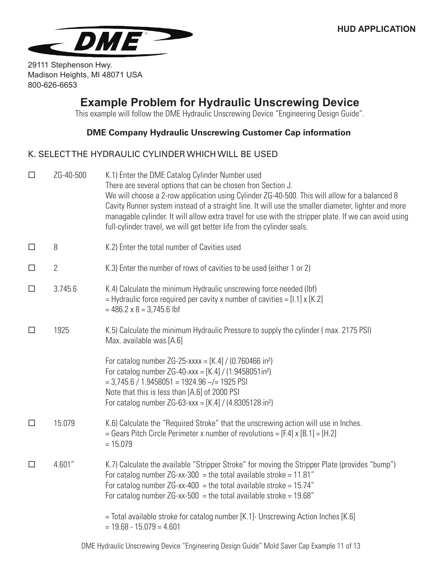

## **Example Problem for Hydraulic Unscrewing Device**

This example will follow the DME Hydraulic Unscrewing Device "Engineering Design Guide".

#### **DME Company Hydraulic Unscrewing Customer Cap information**

#### K. SELECT THE HYDRAULIC CYLINDER WHICH WILL BE USED

| $\Box$ | ZG-40-500      | K.1) Enter the DME Catalog Cylinder Number used<br>There are several options that can be chosen fron Section J.<br>We will choose a 2-row application using Cylinder ZG-40-500. This will allow for a balanced 8<br>Cavity Runner system instead of a straight line. It will use the smaller diameter, lighter and more<br>managable cylinder. It will allow extra travel for use with the stripper plate. If we can avoid using<br>full-cylinder travel, we will get better life from the cylinder seals. |
|--------|----------------|------------------------------------------------------------------------------------------------------------------------------------------------------------------------------------------------------------------------------------------------------------------------------------------------------------------------------------------------------------------------------------------------------------------------------------------------------------------------------------------------------------|
| $\Box$ | 8              | K.2) Enter the total number of Cavities used                                                                                                                                                                                                                                                                                                                                                                                                                                                               |
| $\Box$ | $\overline{2}$ | K.3) Enter the number of rows of cavities to be used (either 1 or 2)                                                                                                                                                                                                                                                                                                                                                                                                                                       |
| $\Box$ | 3.745.6        | K.4) Calculate the minimum Hydraulic unscrewing force needed (lbf)<br>$=$ Hydraulic force required per cavity x number of cavities $=$ [1.1] x [K.2]<br>$= 486.2 \times 8 = 3,745.6$ lbf                                                                                                                                                                                                                                                                                                                   |
| $\Box$ | 1925           | K.5) Calculate the minimum Hydraulic Pressure to supply the cylinder (max. 2175 PSI)<br>Max. available was [A.6]                                                                                                                                                                                                                                                                                                                                                                                           |
|        |                | For catalog number ZG-25-xxxx = $[K.4] / (0.760466$ in <sup>2</sup> )<br>For catalog number ZG-40-xxx = $[K.4] / (1.9458051in^2)$<br>$=$ 3,745.6 / 1.9458051 = 1924.96 $\sim$ /= 1925 PSI<br>Note that this is less than [A.6] of 2000 PSI<br>For catalog number ZG-63-xxx = $[K.4] / (4.8305128 \text{ in}^2)$                                                                                                                                                                                            |
| $\Box$ | 15.079         | K.6) Calculate the "Required Stroke" that the unscrewing action will use in Inches.<br>= Gears Pitch Circle Perimeter x number of revolutions = $[F.4] \times [B.1] = [H.2]$<br>$= 15.079$                                                                                                                                                                                                                                                                                                                 |
| $\Box$ | 4.601"         | K.7) Calculate the available "Stripper Stroke" for moving the Stripper Plate (provides "bump")<br>For catalog number $ZG$ -xx-300 = the total available stroke = 11.81"<br>For catalog number $ZG$ -xx-400 = the total available stroke = 15.74"<br>For catalog number $ZG$ -xx-500 = the total available stroke = 19.68"                                                                                                                                                                                  |
|        |                | = Total available stroke for catalog number [K.1]- Unscrewing Action Inches [K.6]<br>$= 19.68 - 15.079 = 4.601$                                                                                                                                                                                                                                                                                                                                                                                            |
|        |                |                                                                                                                                                                                                                                                                                                                                                                                                                                                                                                            |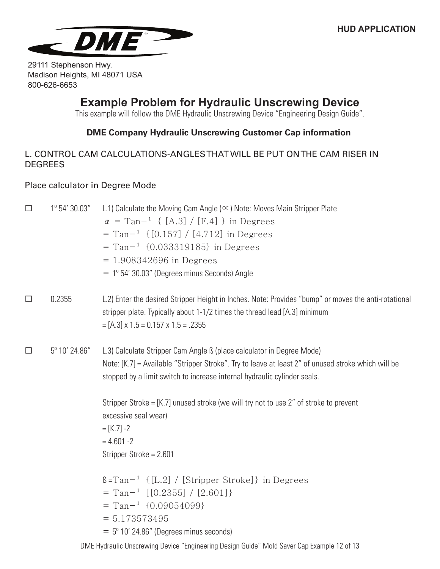

## **Example Problem for Hydraulic Unscrewing Device**

This example will follow the DME Hydraulic Unscrewing Device "Engineering Design Guide".

### **DME Company Hydraulic Unscrewing Customer Cap information**

### L. CONTROL CAM CALCULATIONS-ANGLES THAT WILL BE PUT ON THE CAM RISER IN **DEGREES**

#### Place calculator in Degree Mode

| $\Box$ | $1^{\circ}$ 54' 30.03" | L.1) Calculate the Moving Cam Angle ( $\infty$ ) Note: Moves Main Stripper Plate<br>$\alpha$ = Tan <sup>-1</sup> { [A.3] / [F.4] } in Degrees<br>$=$ Tan <sup>-1</sup> {[0.157] / [4.712] in Degrees<br>$=$ Tan <sup><math>-1</math></sup> {0.033319185} in Degrees<br>$= 1.908342696$ in Degrees<br>$= 1^{\circ} 54' 30.03''$ (Degrees minus Seconds) Angle |
|--------|------------------------|--------------------------------------------------------------------------------------------------------------------------------------------------------------------------------------------------------------------------------------------------------------------------------------------------------------------------------------------------------------|
| $\Box$ | 0.2355                 | L.2) Enter the desired Stripper Height in Inches. Note: Provides "bump" or moves the anti-rotational<br>stripper plate. Typically about 1-1/2 times the thread lead [A.3] minimum<br>$=[A.3] \times 1.5 = 0.157 \times 1.5 = .2355$                                                                                                                          |
| $\Box$ | 5° 10' 24.86"          | L.3) Calculate Stripper Cam Angle ß (place calculator in Degree Mode)<br>Note: [K.7] = Available "Stripper Stroke". Try to leave at least 2" of unused stroke which will be<br>stopped by a limit switch to increase internal hydraulic cylinder seals.                                                                                                      |
|        |                        | Stripper Stroke = $[K.7]$ unused stroke (we will try not to use 2" of stroke to prevent<br>excessive seal wear)<br>$= [K.7] - 2$<br>$= 4.601 - 2$<br>Stripper Stroke = 2.601                                                                                                                                                                                 |
|        |                        | $\beta$ =Tan <sup>-1</sup> {[L.2] / [Stripper Stroke]} in Degrees<br>$=$ Tan <sup>-1</sup> [[0.2355] / [2.601]}<br>$=$ Tan <sup>-1</sup> {0.09054099}<br>$= 5.173573495$<br>$=$ 5° 10′ 24.86″ (Degrees minus seconds)                                                                                                                                        |
|        |                        | DME Hydraulic Unscrewing Device "Engineering Design Guide" Mold Saver Cap Example 12 of 13                                                                                                                                                                                                                                                                   |